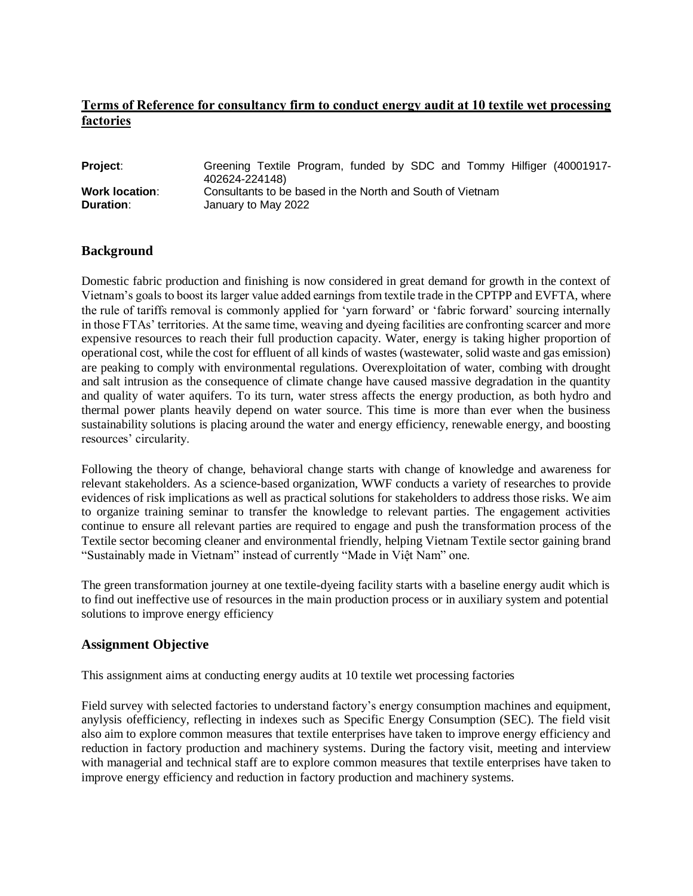# **Terms of Reference for consultancy firm to conduct energy audit at 10 textile wet processing factories**

| Project:              | Greening Textile Program, funded by SDC and Tommy Hilfiger (40001917-<br>402624-224148) |
|-----------------------|-----------------------------------------------------------------------------------------|
| <b>Work location:</b> | Consultants to be based in the North and South of Vietnam                               |
| <b>Duration:</b>      | January to May 2022                                                                     |

### **Background**

Domestic fabric production and finishing is now considered in great demand for growth in the context of Vietnam's goals to boost its larger value added earnings from textile trade in the CPTPP and EVFTA, where the rule of tariffs removal is commonly applied for 'yarn forward' or 'fabric forward' sourcing internally in those FTAs' territories. At the same time, weaving and dyeing facilities are confronting scarcer and more expensive resources to reach their full production capacity. Water, energy is taking higher proportion of operational cost, while the cost for effluent of all kinds of wastes (wastewater, solid waste and gas emission) are peaking to comply with environmental regulations. Overexploitation of water, combing with drought and salt intrusion as the consequence of climate change have caused massive degradation in the quantity and quality of water aquifers. To its turn, water stress affects the energy production, as both hydro and thermal power plants heavily depend on water source. This time is more than ever when the business sustainability solutions is placing around the water and energy efficiency, renewable energy, and boosting resources' circularity.

Following the theory of change, behavioral change starts with change of knowledge and awareness for relevant stakeholders. As a science-based organization, WWF conducts a variety of researches to provide evidences of risk implications as well as practical solutions for stakeholders to address those risks. We aim to organize training seminar to transfer the knowledge to relevant parties. The engagement activities continue to ensure all relevant parties are required to engage and push the transformation process of the Textile sector becoming cleaner and environmental friendly, helping Vietnam Textile sector gaining brand "Sustainably made in Vietnam" instead of currently "Made in Việt Nam" one.

The green transformation journey at one textile-dyeing facility starts with a baseline energy audit which is to find out ineffective use of resources in the main production process or in auxiliary system and potential solutions to improve energy efficiency

#### **Assignment Objective**

This assignment aims at conducting energy audits at 10 textile wet processing factories

Field survey with selected factories to understand factory's energy consumption machines and equipment, anylysis ofefficiency, reflecting in indexes such as Specific Energy Consumption (SEC). The field visit also aim to explore common measures that textile enterprises have taken to improve energy efficiency and reduction in factory production and machinery systems. During the factory visit, meeting and interview with managerial and technical staff are to explore common measures that textile enterprises have taken to improve energy efficiency and reduction in factory production and machinery systems.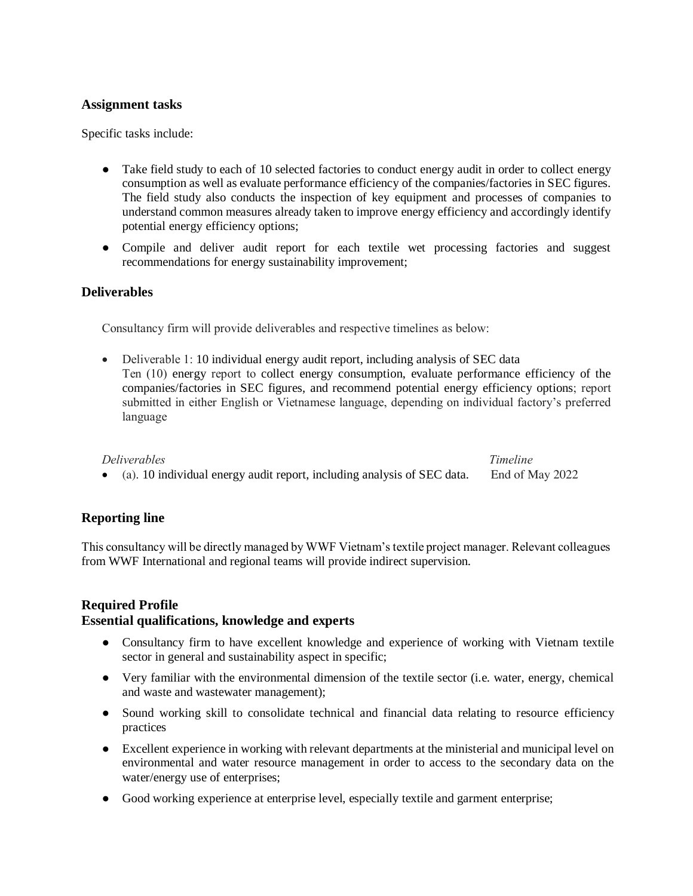#### **Assignment tasks**

Specific tasks include:

- Take field study to each of 10 selected factories to conduct energy audit in order to collect energy consumption as well as evaluate performance efficiency of the companies/factories in SEC figures. The field study also conducts the inspection of key equipment and processes of companies to understand common measures already taken to improve energy efficiency and accordingly identify potential energy efficiency options;
- Compile and deliver audit report for each textile wet processing factories and suggest recommendations for energy sustainability improvement;

### **Deliverables**

Consultancy firm will provide deliverables and respective timelines as below:

 Deliverable 1: 10 individual energy audit report, including analysis of SEC data Ten (10) energy report to collect energy consumption, evaluate performance efficiency of the companies/factories in SEC figures, and recommend potential energy efficiency options; report submitted in either English or Vietnamese language, depending on individual factory's preferred language

#### *Deliverables Timeline*  (a). 10 individual energy audit report, including analysis of SEC data. End of May 2022

### **Reporting line**

This consultancy will be directly managed by WWF Vietnam's textile project manager. Relevant colleagues from WWF International and regional teams will provide indirect supervision.

### **Required Profile**

#### **Essential qualifications, knowledge and experts**

- Consultancy firm to have excellent knowledge and experience of working with Vietnam textile sector in general and sustainability aspect in specific;
- Very familiar with the environmental dimension of the textile sector (i.e. water, energy, chemical and waste and wastewater management);
- Sound working skill to consolidate technical and financial data relating to resource efficiency practices
- Excellent experience in working with relevant departments at the ministerial and municipal level on environmental and water resource management in order to access to the secondary data on the water/energy use of enterprises;
- Good working experience at enterprise level, especially textile and garment enterprise;